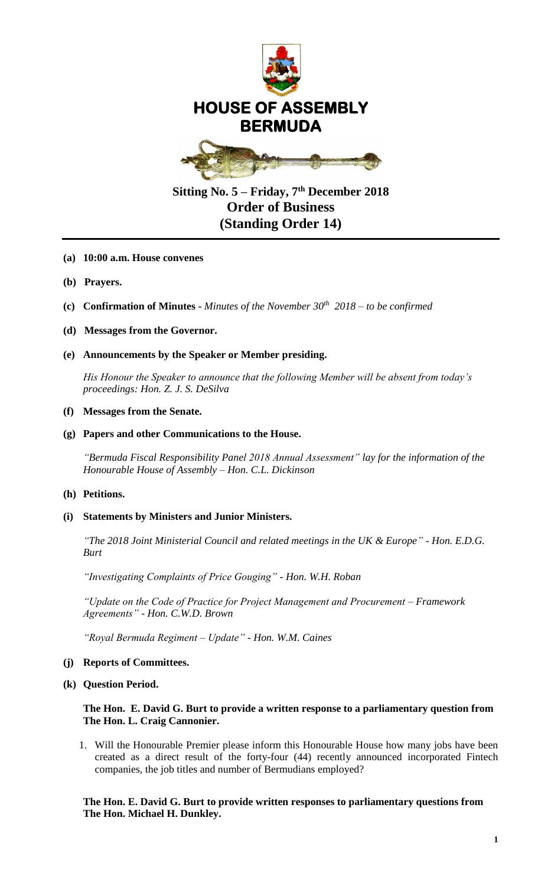

# **Sitting No. 5 – Friday, 7 th December 2018 Order of Business (Standing Order 14)**

- **(a) 10:00 a.m. House convenes**
- **(b) Prayers.**
- **(c) Confirmation of Minutes -** *Minutes of the November 30th 2018 – to be confirmed*
- **(d) Messages from the Governor.**

### **(e) Announcements by the Speaker or Member presiding.**

*His Honour the Speaker to announce that the following Member will be absent from today's proceedings: Hon. Z. J. S. DeSilva*

#### **(f) Messages from the Senate.**

#### **(g) Papers and other Communications to the House.**

*"Bermuda Fiscal Responsibility Panel 2018 Annual Assessment" lay for the information of the Honourable House of Assembly – Hon. C.L. Dickinson*

### **(h) Petitions.**

#### **(i) Statements by Ministers and Junior Ministers.**

*"The 2018 Joint Ministerial Council and related meetings in the UK & Europe" - Hon. E.D.G. Burt*

*"Investigating Complaints of Price Gouging" - Hon. W.H. Roban*

*"Update on the Code of Practice for Project Management and Procurement – Framework Agreements" - Hon. C.W.D. Brown*

*"Royal Bermuda Regiment – Update" - Hon. W.M. Caines*

#### **(j) Reports of Committees.**

**(k) Question Period.** 

### **The Hon. E. David G. Burt to provide a written response to a parliamentary question from The Hon. L. Craig Cannonier.**

1. Will the Honourable Premier please inform this Honourable House how many jobs have been created as a direct result of the forty-four (44) recently announced incorporated Fintech companies, the job titles and number of Bermudians employed?

## **The Hon. E. David G. Burt to provide written responses to parliamentary questions from The Hon. Michael H. Dunkley.**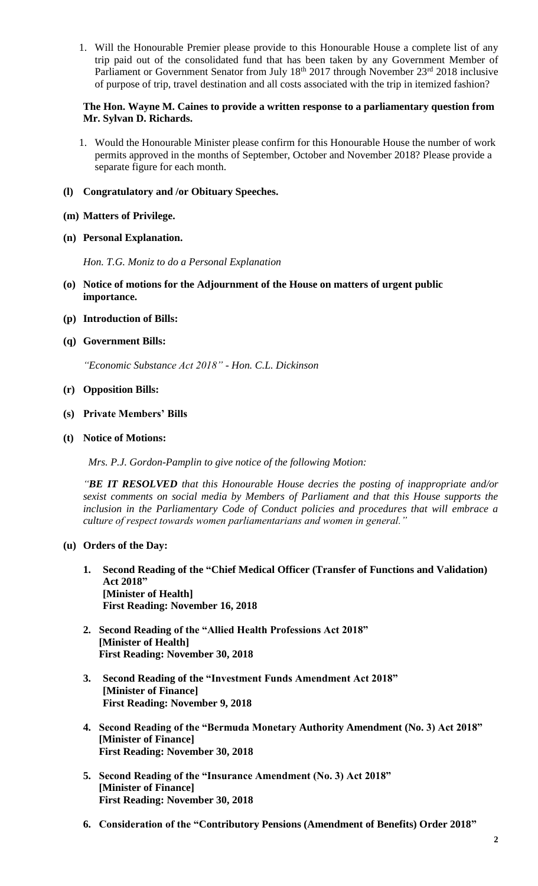1. Will the Honourable Premier please provide to this Honourable House a complete list of any trip paid out of the consolidated fund that has been taken by any Government Member of Parliament or Government Senator from July 18<sup>th</sup> 2017 through November 23<sup>rd</sup> 2018 inclusive of purpose of trip, travel destination and all costs associated with the trip in itemized fashion?

# **The Hon. Wayne M. Caines to provide a written response to a parliamentary question from Mr. Sylvan D. Richards.**

- 1. Would the Honourable Minister please confirm for this Honourable House the number of work permits approved in the months of September, October and November 2018? Please provide a separate figure for each month.
- **(l) Congratulatory and /or Obituary Speeches.**
- **(m) Matters of Privilege.**
- **(n) Personal Explanation.**

*Hon. T.G. Moniz to do a Personal Explanation*

- **(o) Notice of motions for the Adjournment of the House on matters of urgent public importance.**
- **(p) Introduction of Bills:**
- **(q) Government Bills:**

*"Economic Substance Act 2018" - Hon. C.L. Dickinson*

- **(r) Opposition Bills:**
- **(s) Private Members' Bills**
- **(t) Notice of Motions:**

 *Mrs. P.J. Gordon-Pamplin to give notice of the following Motion:*

*"BE IT RESOLVED that this Honourable House decries the posting of inappropriate and/or sexist comments on social media by Members of Parliament and that this House supports the inclusion in the Parliamentary Code of Conduct policies and procedures that will embrace a culture of respect towards women parliamentarians and women in general."*

# **(u) Orders of the Day:**

- **1. Second Reading of the "Chief Medical Officer (Transfer of Functions and Validation) Act 2018" [Minister of Health] First Reading: November 16, 2018**
- **2. Second Reading of the "Allied Health Professions Act 2018" [Minister of Health] First Reading: November 30, 2018**
- **3. Second Reading of the "Investment Funds Amendment Act 2018" [Minister of Finance] First Reading: November 9, 2018**
- **4. Second Reading of the "Bermuda Monetary Authority Amendment (No. 3) Act 2018" [Minister of Finance] First Reading: November 30, 2018**
- **5. Second Reading of the "Insurance Amendment (No. 3) Act 2018" [Minister of Finance] First Reading: November 30, 2018**
- **6. Consideration of the "Contributory Pensions (Amendment of Benefits) Order 2018"**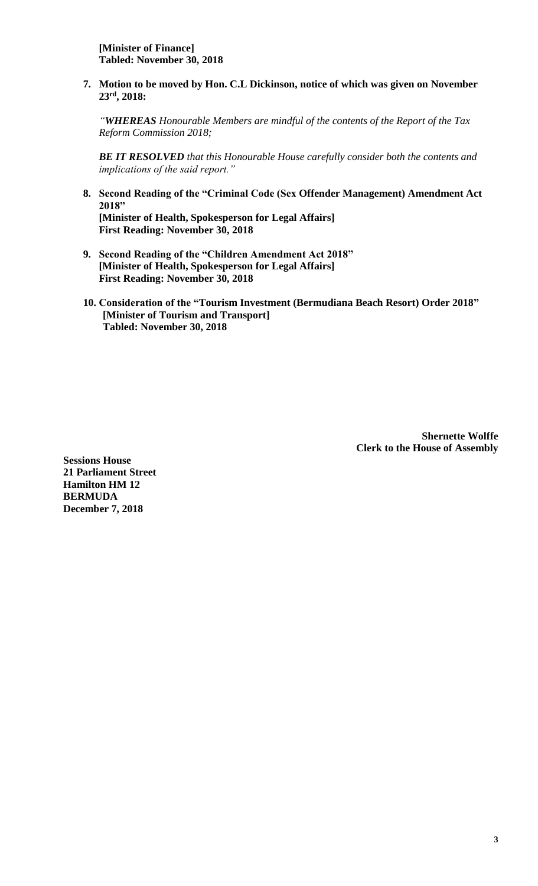**7. Motion to be moved by Hon. C.L Dickinson, notice of which was given on November 23rd, 2018:**

*"WHEREAS Honourable Members are mindful of the contents of the Report of the Tax Reform Commission 2018;*

*BE IT RESOLVED that this Honourable House carefully consider both the contents and implications of the said report."*

- **8. Second Reading of the "Criminal Code (Sex Offender Management) Amendment Act 2018" [Minister of Health, Spokesperson for Legal Affairs] First Reading: November 30, 2018**
- **9. Second Reading of the "Children Amendment Act 2018" [Minister of Health, Spokesperson for Legal Affairs] First Reading: November 30, 2018**
- **10. Consideration of the "Tourism Investment (Bermudiana Beach Resort) Order 2018" [Minister of Tourism and Transport] Tabled: November 30, 2018**

**Shernette Wolffe Clerk to the House of Assembly**

**Sessions House 21 Parliament Street Hamilton HM 12 BERMUDA December 7, 2018**